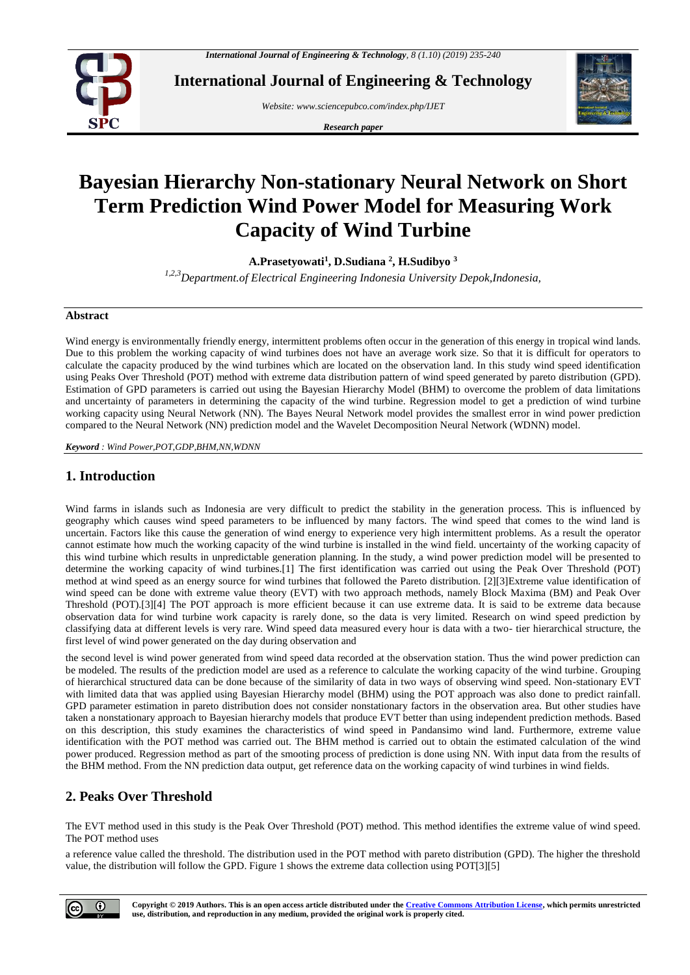

**International Journal of Engineering & Technology**

*Website[: www.sciencepubco.com/index.php/IJET](http://www.sciencepubco.com/index.php/IJET)*

*Research paper*



# **Bayesian Hierarchy Non-stationary Neural Network on Short Term Prediction Wind Power Model for Measuring Work Capacity of Wind Turbine**

**A.Prasetyowati<sup>1</sup> , D.Sudiana <sup>2</sup> , H.Sudibyo <sup>3</sup>**

*1,2,3Department.of Electrical Engineering Indonesia University Depok,Indonesia,*

#### **Abstract**

Wind energy is environmentally friendly energy, intermittent problems often occur in the generation of this energy in tropical wind lands. Due to this problem the working capacity of wind turbines does not have an average work size. So that it is difficult for operators to calculate the capacity produced by the wind turbines which are located on the observation land. In this study wind speed identification using Peaks Over Threshold (POT) method with extreme data distribution pattern of wind speed generated by pareto distribution (GPD). Estimation of GPD parameters is carried out using the Bayesian Hierarchy Model (BHM) to overcome the problem of data limitations and uncertainty of parameters in determining the capacity of the wind turbine. Regression model to get a prediction of wind turbine working capacity using Neural Network (NN). The Bayes Neural Network model provides the smallest error in wind power prediction compared to the Neural Network (NN) prediction model and the Wavelet Decomposition Neural Network (WDNN) model.

*Keyword : Wind Power,POT,GDP,BHM,NN,WDNN*

## **1. Introduction**

Wind farms in islands such as Indonesia are very difficult to predict the stability in the generation process. This is influenced by geography which causes wind speed parameters to be influenced by many factors. The wind speed that comes to the wind land is uncertain. Factors like this cause the generation of wind energy to experience very high intermittent problems. As a result the operator cannot estimate how much the working capacity of the wind turbine is installed in the wind field. uncertainty of the working capacity of this wind turbine which results in unpredictable generation planning. In the study, a wind power prediction model will be presented to determine the working capacity of wind turbines.[1] The first identification was carried out using the Peak Over Threshold (POT) method at wind speed as an energy source for wind turbines that followed the Pareto distribution. [2][3]Extreme value identification of wind speed can be done with extreme value theory (EVT) with two approach methods, namely Block Maxima (BM) and Peak Over Threshold (POT).[3][4] The POT approach is more efficient because it can use extreme data. It is said to be extreme data because observation data for wind turbine work capacity is rarely done, so the data is very limited. Research on wind speed prediction by classifying data at different levels is very rare. Wind speed data measured every hour is data with a two- tier hierarchical structure, the first level of wind power generated on the day during observation and

the second level is wind power generated from wind speed data recorded at the observation station. Thus the wind power prediction can be modeled. The results of the prediction model are used as a reference to calculate the working capacity of the wind turbine. Grouping of hierarchical structured data can be done because of the similarity of data in two ways of observing wind speed. Non-stationary EVT with limited data that was applied using Bayesian Hierarchy model (BHM) using the POT approach was also done to predict rainfall. GPD parameter estimation in pareto distribution does not consider nonstationary factors in the observation area. But other studies have taken a nonstationary approach to Bayesian hierarchy models that produce EVT better than using independent prediction methods. Based on this description, this study examines the characteristics of wind speed in Pandansimo wind land. Furthermore, extreme value identification with the POT method was carried out. The BHM method is carried out to obtain the estimated calculation of the wind power produced. Regression method as part of the smooting process of prediction is done using NN. With input data from the results of the BHM method. From the NN prediction data output, get reference data on the working capacity of wind turbines in wind fields.

## **2. Peaks Over Threshold**

The EVT method used in this study is the Peak Over Threshold (POT) method. This method identifies the extreme value of wind speed. The POT method uses

a reference value called the threshold. The distribution used in the POT method with pareto distribution (GPD). The higher the threshold value, the distribution will follow the GPD. Figure 1 shows the extreme data collection using POT[3][5]

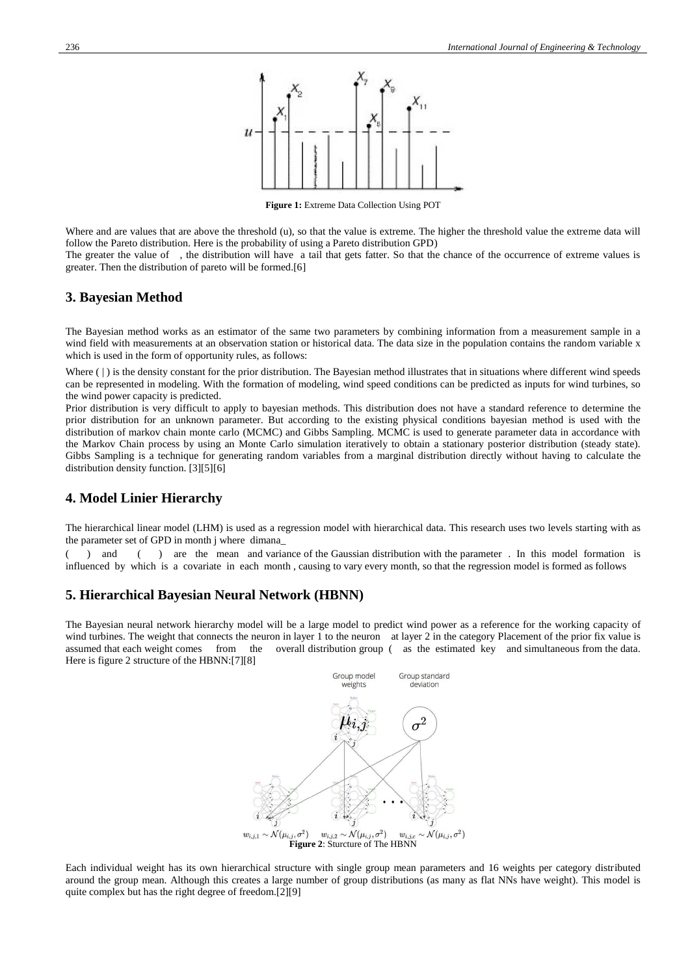

**Figure 1:** Extreme Data Collection Using POT

Where and are values that are above the threshold (u), so that the value is extreme. The higher the threshold value the extreme data will follow the Pareto distribution. Here is the probability of using a Pareto distribution GPD)

The greater the value of , the distribution will have a tail that gets fatter. So that the chance of the occurrence of extreme values is greater. Then the distribution of pareto will be formed.[6]

## **3. Bayesian Method**

The Bayesian method works as an estimator of the same two parameters by combining information from a measurement sample in a wind field with measurements at an observation station or historical data. The data size in the population contains the random variable x which is used in the form of opportunity rules, as follows:

Where (|) is the density constant for the prior distribution. The Bayesian method illustrates that in situations where different wind speeds can be represented in modeling. With the formation of modeling, wind speed conditions can be predicted as inputs for wind turbines, so the wind power capacity is predicted.

Prior distribution is very difficult to apply to bayesian methods. This distribution does not have a standard reference to determine the prior distribution for an unknown parameter. But according to the existing physical conditions bayesian method is used with the distribution of markov chain monte carlo (MCMC) and Gibbs Sampling. MCMC is used to generate parameter data in accordance with the Markov Chain process by using an Monte Carlo simulation iteratively to obtain a stationary posterior distribution (steady state). Gibbs Sampling is a technique for generating random variables from a marginal distribution directly without having to calculate the distribution density function. [3][5][6]

## **4. Model Linier Hierarchy**

The hierarchical linear model (LHM) is used as a regression model with hierarchical data. This research uses two levels starting with as the parameter set of GPD in month j where dimana\_

 $($  ) and  $($ ) are the mean and variance of the Gaussian distribution with the parameter. In this model formation is influenced by which is a covariate in each month , causing to vary every month, so that the regression model is formed as follows

## **5. Hierarchical Bayesian Neural Network (HBNN)**

The Bayesian neural network hierarchy model will be a large model to predict wind power as a reference for the working capacity of wind turbines. The weight that connects the neuron in layer 1 to the neuron at layer 2 in the category Placement of the prior fix value is assumed that each weight comes from the overall distribution group ( as the estimated key and simultaneous from the data. Here is figure 2 structure of the HBNN:[7][8]



Each individual weight has its own hierarchical structure with single group mean parameters and 16 weights per category distributed around the group mean. Although this creates a large number of group distributions (as many as flat NNs have weight). This model is quite complex but has the right degree of freedom.[2][9]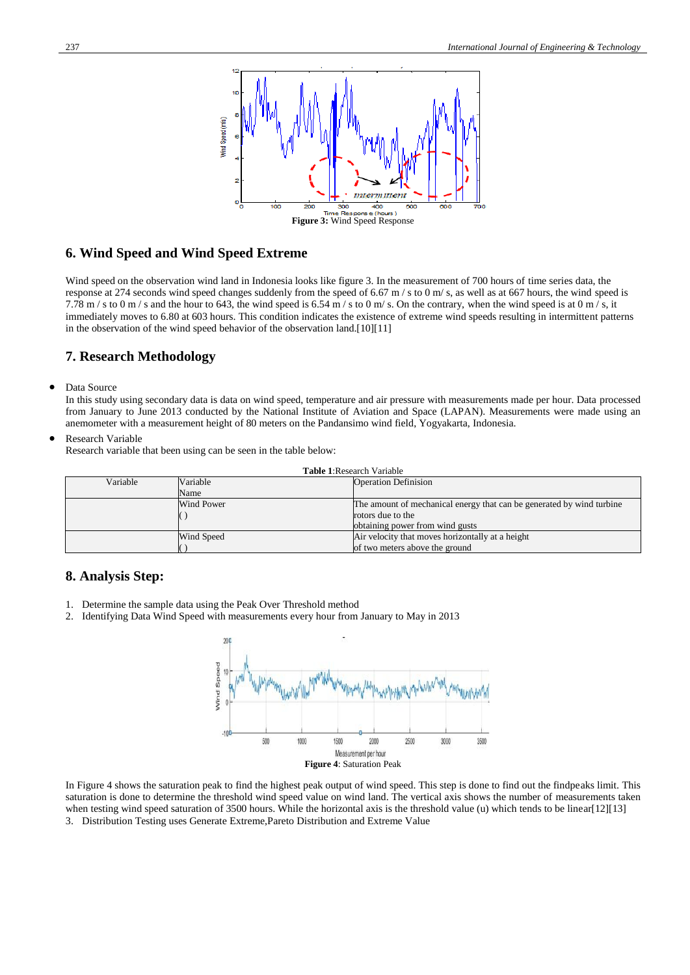

## **6. Wind Speed and Wind Speed Extreme**

Wind speed on the observation wind land in Indonesia looks like figure 3. In the measurement of 700 hours of time series data, the response at 274 seconds wind speed changes suddenly from the speed of 6.67 m / s to 0 m/ s, as well as at 667 hours, the wind speed is 7.78 m / s to 0 m / s and the hour to 643, the wind speed is 6.54 m / s to 0 m/ s. On the contrary, when the wind speed is at 0 m / s, it immediately moves to 6.80 at 603 hours. This condition indicates the existence of extreme wind speeds resulting in intermittent patterns in the observation of the wind speed behavior of the observation land.[10][11]

## **7. Research Methodology**

Data Source

In this study using secondary data is data on wind speed, temperature and air pressure with measurements made per hour. Data processed from January to June 2013 conducted by the National Institute of Aviation and Space (LAPAN). Measurements were made using an anemometer with a measurement height of 80 meters on the Pandansimo wind field, Yogyakarta, Indonesia.

Research Variable

Research variable that been using can be seen in the table below:

| <b>Table 1: Research Variable</b> |            |                                                                       |  |  |
|-----------------------------------|------------|-----------------------------------------------------------------------|--|--|
| Variable                          | Variable   | <b>Operation Definision</b>                                           |  |  |
|                                   | Name       |                                                                       |  |  |
|                                   | Wind Power | The amount of mechanical energy that can be generated by wind turbine |  |  |
|                                   |            | rotors due to the                                                     |  |  |
|                                   |            | obtaining power from wind gusts                                       |  |  |
|                                   | Wind Speed | Air velocity that moves horizontally at a height                      |  |  |
|                                   |            | of two meters above the ground                                        |  |  |

## **8. Analysis Step:**

- 1. Determine the sample data using the Peak Over Threshold method
- 2. Identifying Data Wind Speed with measurements every hour from January to May in 2013



In Figure 4 shows the saturation peak to find the highest peak output of wind speed. This step is done to find out the findpeaks limit. This saturation is done to determine the threshold wind speed value on wind land. The vertical axis shows the number of measurements taken when testing wind speed saturation of 3500 hours. While the horizontal axis is the threshold value (u) which tends to be linear[12][13] 3. Distribution Testing uses Generate Extreme,Pareto Distribution and Extreme Value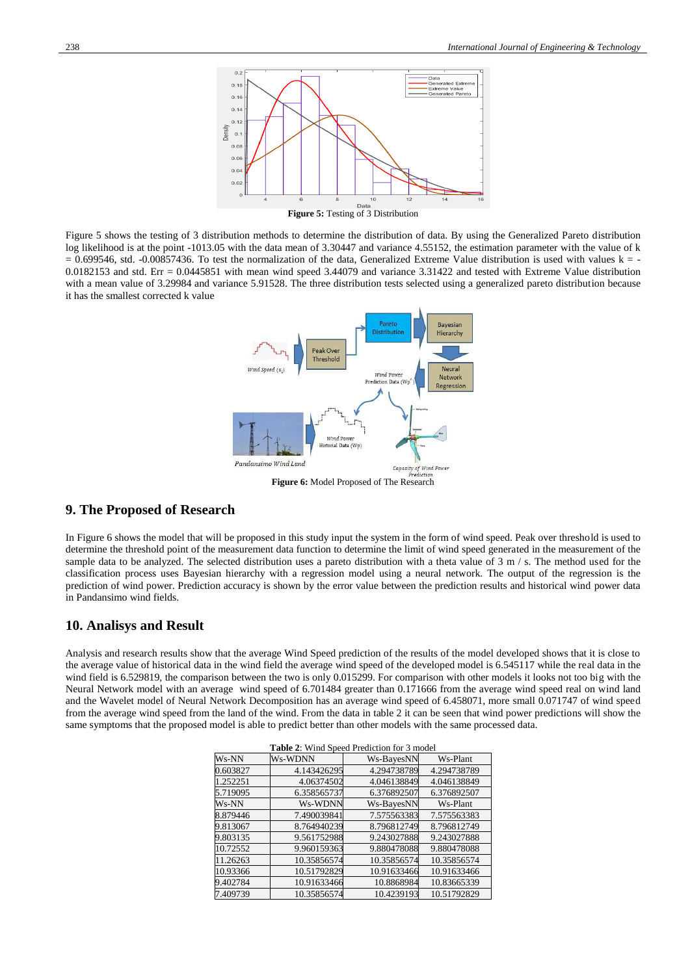

**Figure 5:** Testing of 3 Distribution

Figure 5 shows the testing of 3 distribution methods to determine the distribution of data. By using the Generalized Pareto distribution log likelihood is at the point -1013.05 with the data mean of 3.30447 and variance 4.55152, the estimation parameter with the value of k  $= 0.699546$ , std. -0.00857436. To test the normalization of the data, Generalized Extreme Value distribution is used with values k = -0.0182153 and std. Err = 0.0445851 with mean wind speed 3.44079 and variance 3.31422 and tested with Extreme Value distribution with a mean value of 3.29984 and variance 5.91528. The three distribution tests selected using a generalized pareto distribution because it has the smallest corrected k value



#### **9. The Proposed of Research**

In Figure 6 shows the model that will be proposed in this study input the system in the form of wind speed. Peak over threshold is used to determine the threshold point of the measurement data function to determine the limit of wind speed generated in the measurement of the sample data to be analyzed. The selected distribution uses a pareto distribution with a theta value of 3 m / s. The method used for the classification process uses Bayesian hierarchy with a regression model using a neural network. The output of the regression is the prediction of wind power. Prediction accuracy is shown by the error value between the prediction results and historical wind power data in Pandansimo wind fields.

#### **10. Analisys and Result**

Analysis and research results show that the average Wind Speed prediction of the results of the model developed shows that it is close to the average value of historical data in the wind field the average wind speed of the developed model is 6.545117 while the real data in the wind field is 6.529819, the comparison between the two is only 0.015299. For comparison with other models it looks not too big with the Neural Network model with an average wind speed of 6.701484 greater than 0.171666 from the average wind speed real on wind land and the Wavelet model of Neural Network Decomposition has an average wind speed of 6.458071, more small 0.071747 of wind speed from the average wind speed from the land of the wind. From the data in table 2 it can be seen that wind power predictions will show the same symptoms that the proposed model is able to predict better than other models with the same processed data.

|          | <b>THERE</b> : Which Speece I reduction for $\beta$ model |             |             |  |  |
|----------|-----------------------------------------------------------|-------------|-------------|--|--|
| Ws-NN    | Ws-WDNN                                                   | Ws-BayesNN  | Ws-Plant    |  |  |
| 0.603827 | 4.143426295                                               | 4.294738789 | 4.294738789 |  |  |
| 1.252251 | 4.06374502                                                | 4.046138849 | 4.046138849 |  |  |
| 5.719095 | 6.358565737                                               | 6.376892507 | 6.376892507 |  |  |
| Ws-NN    | Ws-WDNN                                                   | Ws-BayesNN  | Ws-Plant    |  |  |
| 8.879446 | 7.490039841                                               | 7.575563383 | 7.575563383 |  |  |
| 9.813067 | 8.764940239                                               | 8.796812749 | 8.796812749 |  |  |
| 9.803135 | 9.561752988                                               | 9.243027888 | 9.243027888 |  |  |
| 10.72552 | 9.960159363                                               | 9.880478088 | 9.880478088 |  |  |
| 11.26263 | 10.35856574                                               | 10.35856574 | 10.35856574 |  |  |
| 10.93366 | 10.51792829                                               | 10.91633466 | 10.91633466 |  |  |
| 9.402784 | 10.91633466                                               | 10.8868984  | 10.83665339 |  |  |
| 7.409739 | 10.35856574                                               | 10.4239193  | 10.51792829 |  |  |

**Table 2**: Wind Speed Prediction for 3 model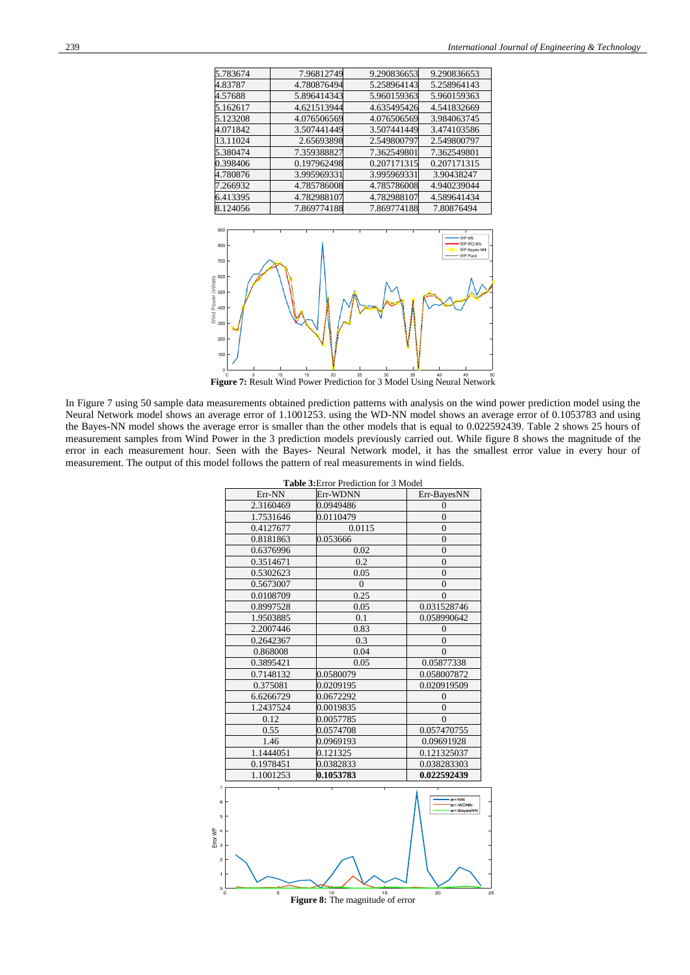| 5.783674 | 7.96812749  | 9.290836653 | 9.290836653 |
|----------|-------------|-------------|-------------|
| 4.83787  | 4.780876494 | 5.258964143 | 5.258964143 |
| 4.57688  | 5.896414343 | 5.960159363 | 5.960159363 |
| 5.162617 | 4.621513944 | 4.635495426 | 4.541832669 |
| 5.123208 | 4.076506569 | 4.076506569 | 3.984063745 |
| 4.071842 | 3.507441449 | 3.507441449 | 3.474103586 |
| 13.11024 | 2.65693898  | 2.549800797 | 2.549800797 |
| 5.380474 | 7.359388827 | 7.362549801 | 7.362549801 |
| 0.398406 | 0.197962498 | 0.207171315 | 0.207171315 |
| 4.780876 | 3.995969331 | 3.995969331 | 3.90438247  |
| 7.266932 | 4.785786008 | 4.785786008 | 4.940239044 |
| 6.413395 | 4.782988107 | 4.782988107 | 4.589641434 |
| 8.124056 | 7.869774188 | 7.869774188 | 7.80876494  |



In Figure 7 using 50 sample data measurements obtained prediction patterns with analysis on the wind power prediction model using the Neural Network model shows an average error of 1.1001253. using the WD-NN model shows an average error of 0.1053783 and using the Bayes-NN model shows the average error is smaller than the other models that is equal to 0.022592439. Table 2 shows 25 hours of measurement samples from Wind Power in the 3 prediction models previously carried out. While figure 8 shows the magnitude of the error in each measurement hour. Seen with the Bayes- Neural Network model, it has the smallest error value in every hour of measurement. The output of this model follows the pattern of real measurements in wind fields.

|                                                        | <b>Table 3: Error Prediction for 3 Model</b> |           |                                   |  |  |  |
|--------------------------------------------------------|----------------------------------------------|-----------|-----------------------------------|--|--|--|
|                                                        | Err-NN                                       | Err-WDNN  | Err-BayesNN                       |  |  |  |
|                                                        | 2.3160469                                    | 0.0949486 | $\theta$                          |  |  |  |
|                                                        | 1.7531646                                    | 0.0110479 | $\overline{0}$                    |  |  |  |
|                                                        | 0.4127677                                    | 0.0115    | $\theta$                          |  |  |  |
|                                                        | 0.8181863                                    | 0.053666  | $\overline{0}$                    |  |  |  |
|                                                        | 0.6376996                                    | 0.02      | $\overline{0}$                    |  |  |  |
|                                                        | 0.3514671                                    | 0.2       | $\theta$                          |  |  |  |
|                                                        | 0.5302623                                    | 0.05      | $\overline{0}$                    |  |  |  |
|                                                        | 0.5673007                                    | $\theta$  | $\overline{0}$                    |  |  |  |
|                                                        | 0.0108709                                    | 0.25      | $\theta$                          |  |  |  |
|                                                        | 0.8997528                                    | 0.05      | 0.031528746                       |  |  |  |
|                                                        | 1.9503885                                    | 0.1       | 0.058990642                       |  |  |  |
|                                                        | 2.2007446                                    | 0.83      | $\Omega$                          |  |  |  |
|                                                        | 0.2642367                                    | 0.3       | $\theta$                          |  |  |  |
|                                                        | 0.868008                                     | 0.04      | $\Omega$                          |  |  |  |
|                                                        | 0.3895421                                    | 0.05      | 0.05877338                        |  |  |  |
|                                                        | 0.7148132                                    | 0.0580079 | 0.058007872                       |  |  |  |
|                                                        | 0.375081                                     | 0.0209195 | 0.020919509                       |  |  |  |
|                                                        | 6.6266729                                    | 0.0672292 | $\overline{0}$                    |  |  |  |
|                                                        | 1.2437524                                    | 0.0019835 | $\overline{0}$                    |  |  |  |
|                                                        | 0.12                                         | 0.0057785 | $\overline{0}$                    |  |  |  |
|                                                        | 0.55                                         | 0.0574708 | 0.057470755                       |  |  |  |
|                                                        | 1.46                                         | 0.0969193 | 0.09691928                        |  |  |  |
|                                                        | 1.1444051                                    | 0.121325  | 0.121325037                       |  |  |  |
|                                                        | 0.1978451                                    | 0.0382833 | 0.038283303                       |  |  |  |
|                                                        | 1.1001253                                    | 0.1053783 | 0.022592439                       |  |  |  |
| $\overline{7}$<br>6<br>5<br>Error WP<br>3<br>$\bar{z}$ |                                              |           | err-NN<br>err-WDNN<br>err-BayesNN |  |  |  |
| 1<br>$\circ$<br>0                                      | 5                                            | 10<br>15  | 20                                |  |  |  |

**Figure 8:** The magnitude of error